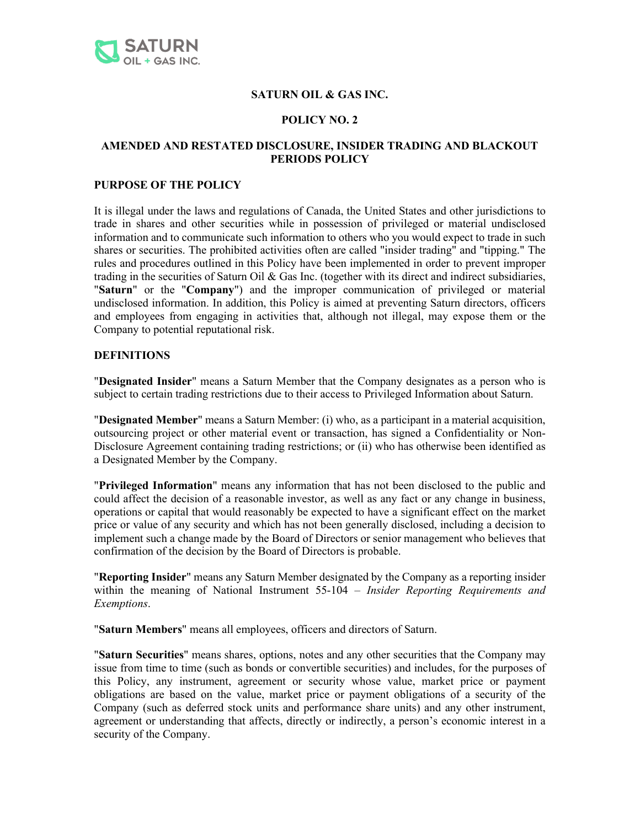

### **SATURN OIL & GAS INC.**

### **POLICY NO. 2**

## **AMENDED AND RESTATED DISCLOSURE, INSIDER TRADING AND BLACKOUT PERIODS POLICY**

#### **PURPOSE OF THE POLICY**

It is illegal under the laws and regulations of Canada, the United States and other jurisdictions to trade in shares and other securities while in possession of privileged or material undisclosed information and to communicate such information to others who you would expect to trade in such shares or securities. The prohibited activities often are called "insider trading" and "tipping." The rules and procedures outlined in this Policy have been implemented in order to prevent improper trading in the securities of Saturn Oil & Gas Inc. (together with its direct and indirect subsidiaries, "**Saturn**" or the "**Company**") and the improper communication of privileged or material undisclosed information. In addition, this Policy is aimed at preventing Saturn directors, officers and employees from engaging in activities that, although not illegal, may expose them or the Company to potential reputational risk.

#### **DEFINITIONS**

"**Designated Insider**" means a Saturn Member that the Company designates as a person who is subject to certain trading restrictions due to their access to Privileged Information about Saturn.

"**Designated Member**" means a Saturn Member: (i) who, as a participant in a material acquisition, outsourcing project or other material event or transaction, has signed a Confidentiality or Non-Disclosure Agreement containing trading restrictions; or (ii) who has otherwise been identified as a Designated Member by the Company.

"**Privileged Information**" means any information that has not been disclosed to the public and could affect the decision of a reasonable investor, as well as any fact or any change in business, operations or capital that would reasonably be expected to have a significant effect on the market price or value of any security and which has not been generally disclosed, including a decision to implement such a change made by the Board of Directors or senior management who believes that confirmation of the decision by the Board of Directors is probable.

"**Reporting Insider**" means any Saturn Member designated by the Company as a reporting insider within the meaning of National Instrument 55-104 – *Insider Reporting Requirements and Exemptions*.

"**Saturn Members**" means all employees, officers and directors of Saturn.

"**Saturn Securities**" means shares, options, notes and any other securities that the Company may issue from time to time (such as bonds or convertible securities) and includes, for the purposes of this Policy, any instrument, agreement or security whose value, market price or payment obligations are based on the value, market price or payment obligations of a security of the Company (such as deferred stock units and performance share units) and any other instrument, agreement or understanding that affects, directly or indirectly, a person's economic interest in a security of the Company.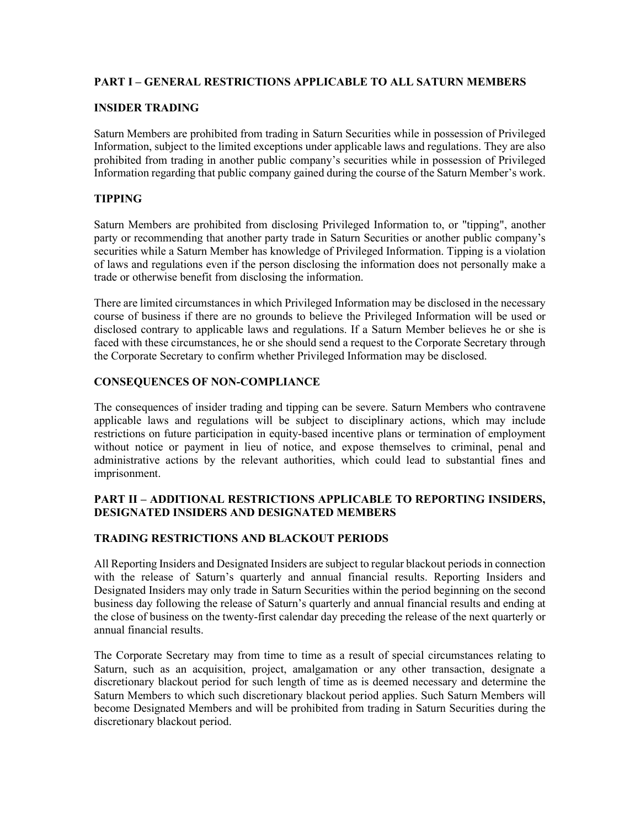## **PART I – GENERAL RESTRICTIONS APPLICABLE TO ALL SATURN MEMBERS**

### **INSIDER TRADING**

Saturn Members are prohibited from trading in Saturn Securities while in possession of Privileged Information, subject to the limited exceptions under applicable laws and regulations. They are also prohibited from trading in another public company's securities while in possession of Privileged Information regarding that public company gained during the course of the Saturn Member's work.

# **TIPPING**

Saturn Members are prohibited from disclosing Privileged Information to, or "tipping", another party or recommending that another party trade in Saturn Securities or another public company's securities while a Saturn Member has knowledge of Privileged Information. Tipping is a violation of laws and regulations even if the person disclosing the information does not personally make a trade or otherwise benefit from disclosing the information.

There are limited circumstances in which Privileged Information may be disclosed in the necessary course of business if there are no grounds to believe the Privileged Information will be used or disclosed contrary to applicable laws and regulations. If a Saturn Member believes he or she is faced with these circumstances, he or she should send a request to the Corporate Secretary through the Corporate Secretary to confirm whether Privileged Information may be disclosed.

### **CONSEQUENCES OF NON-COMPLIANCE**

The consequences of insider trading and tipping can be severe. Saturn Members who contravene applicable laws and regulations will be subject to disciplinary actions, which may include restrictions on future participation in equity-based incentive plans or termination of employment without notice or payment in lieu of notice, and expose themselves to criminal, penal and administrative actions by the relevant authorities, which could lead to substantial fines and imprisonment.

### **PART II – ADDITIONAL RESTRICTIONS APPLICABLE TO REPORTING INSIDERS, DESIGNATED INSIDERS AND DESIGNATED MEMBERS**

### **TRADING RESTRICTIONS AND BLACKOUT PERIODS**

All Reporting Insiders and Designated Insiders are subject to regular blackout periods in connection with the release of Saturn's quarterly and annual financial results. Reporting Insiders and Designated Insiders may only trade in Saturn Securities within the period beginning on the second business day following the release of Saturn's quarterly and annual financial results and ending at the close of business on the twenty-first calendar day preceding the release of the next quarterly or annual financial results.

The Corporate Secretary may from time to time as a result of special circumstances relating to Saturn, such as an acquisition, project, amalgamation or any other transaction, designate a discretionary blackout period for such length of time as is deemed necessary and determine the Saturn Members to which such discretionary blackout period applies. Such Saturn Members will become Designated Members and will be prohibited from trading in Saturn Securities during the discretionary blackout period.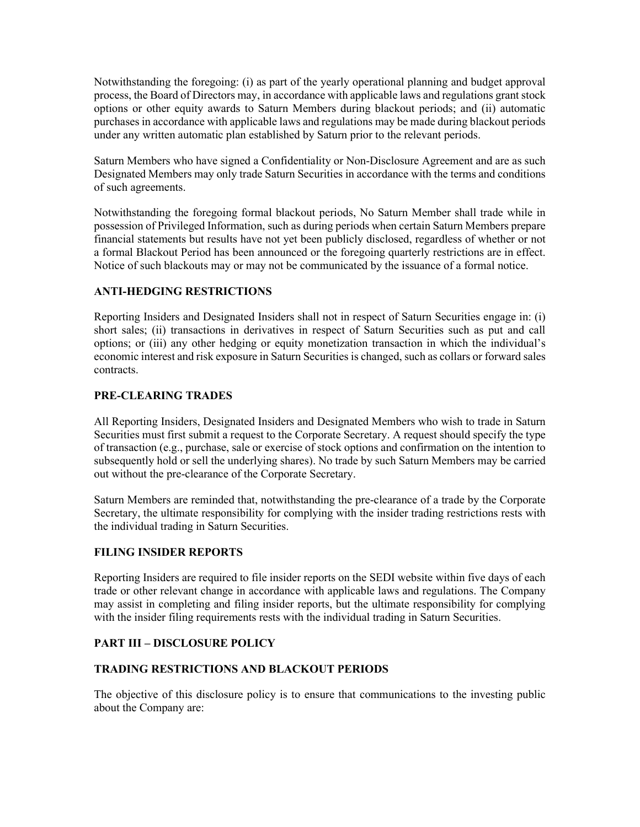Notwithstanding the foregoing: (i) as part of the yearly operational planning and budget approval process, the Board of Directors may, in accordance with applicable laws and regulations grant stock options or other equity awards to Saturn Members during blackout periods; and (ii) automatic purchases in accordance with applicable laws and regulations may be made during blackout periods under any written automatic plan established by Saturn prior to the relevant periods.

Saturn Members who have signed a Confidentiality or Non-Disclosure Agreement and are as such Designated Members may only trade Saturn Securities in accordance with the terms and conditions of such agreements.

Notwithstanding the foregoing formal blackout periods, No Saturn Member shall trade while in possession of Privileged Information, such as during periods when certain Saturn Members prepare financial statements but results have not yet been publicly disclosed, regardless of whether or not a formal Blackout Period has been announced or the foregoing quarterly restrictions are in effect. Notice of such blackouts may or may not be communicated by the issuance of a formal notice.

## **ANTI-HEDGING RESTRICTIONS**

Reporting Insiders and Designated Insiders shall not in respect of Saturn Securities engage in: (i) short sales; (ii) transactions in derivatives in respect of Saturn Securities such as put and call options; or (iii) any other hedging or equity monetization transaction in which the individual's economic interest and risk exposure in Saturn Securities is changed, such as collars or forward sales contracts.

## **PRE-CLEARING TRADES**

All Reporting Insiders, Designated Insiders and Designated Members who wish to trade in Saturn Securities must first submit a request to the Corporate Secretary. A request should specify the type of transaction (e.g., purchase, sale or exercise of stock options and confirmation on the intention to subsequently hold or sell the underlying shares). No trade by such Saturn Members may be carried out without the pre-clearance of the Corporate Secretary.

Saturn Members are reminded that, notwithstanding the pre-clearance of a trade by the Corporate Secretary, the ultimate responsibility for complying with the insider trading restrictions rests with the individual trading in Saturn Securities.

### **FILING INSIDER REPORTS**

Reporting Insiders are required to file insider reports on the SEDI website within five days of each trade or other relevant change in accordance with applicable laws and regulations. The Company may assist in completing and filing insider reports, but the ultimate responsibility for complying with the insider filing requirements rests with the individual trading in Saturn Securities.

# **PART III – DISCLOSURE POLICY**

### **TRADING RESTRICTIONS AND BLACKOUT PERIODS**

The objective of this disclosure policy is to ensure that communications to the investing public about the Company are: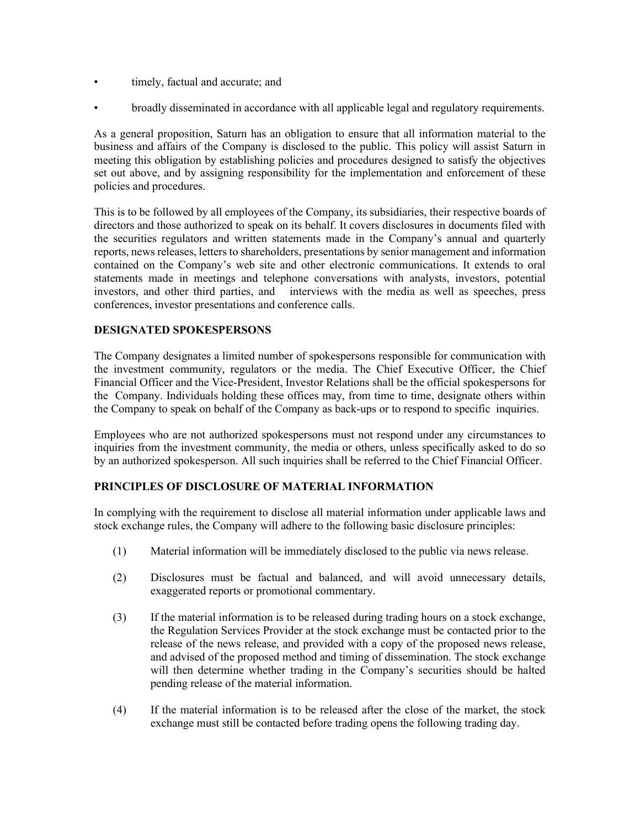- timely, factual and accurate; and
- broadly disseminated in accordance with all applicable legal and regulatory requirements.

As a general proposition, Saturn has an obligation to ensure that all information material to the business and affairs of the Company is disclosed to the public. This policy will assist Saturn in meeting this obligation by establishing policies and procedures designed to satisfy the objectives set out above, and by assigning responsibility for the implementation and enforcement of these policies and procedures.

This is to be followed by all employees of the Company, its subsidiaries, their respective boards of directors and those authorized to speak on its behalf. It covers disclosures in documents filed with the securities regulators and written statements made in the Company's annual and quarterly reports, news releases, letters to shareholders, presentations by senior management and information contained on the Company's web site and other electronic communications. It extends to oral statements made in meetings and telephone conversations with analysts, investors, potential investors, and other third parties, and interviews with the media as well as speeches, press conferences, investor presentations and conference calls.

## **DESIGNATED SPOKESPERSONS**

The Company designates a limited number of spokespersons responsible for communication with the investment community, regulators or the media. The Chief Executive Officer, the Chief Financial Officer and the Vice-President, Investor Relations shall be the official spokespersons for the Company. Individuals holding these offices may, from time to time, designate others within the Company to speak on behalf of the Company as back-ups or to respond to specific inquiries.

Employees who are not authorized spokespersons must not respond under any circumstances to inquiries from the investment community, the media or others, unless specifically asked to do so by an authorized spokesperson. All such inquiries shall be referred to the Chief Financial Officer.

## **PRINCIPLES OF DISCLOSURE OF MATERIAL INFORMATION**

In complying with the requirement to disclose all material information under applicable laws and stock exchange rules, the Company will adhere to the following basic disclosure principles:

- (1) Material information will be immediately disclosed to the public via news release.
- (2) Disclosures must be factual and balanced, and will avoid unnecessary details, exaggerated reports or promotional commentary.
- (3) If the material information is to be released during trading hours on a stock exchange, the Regulation Services Provider at the stock exchange must be contacted prior to the release of the news release, and provided with a copy of the proposed news release, and advised of the proposed method and timing of dissemination. The stock exchange will then determine whether trading in the Company's securities should be halted pending release of the material information.
- (4) If the material information is to be released after the close of the market, the stock exchange must still be contacted before trading opens the following trading day.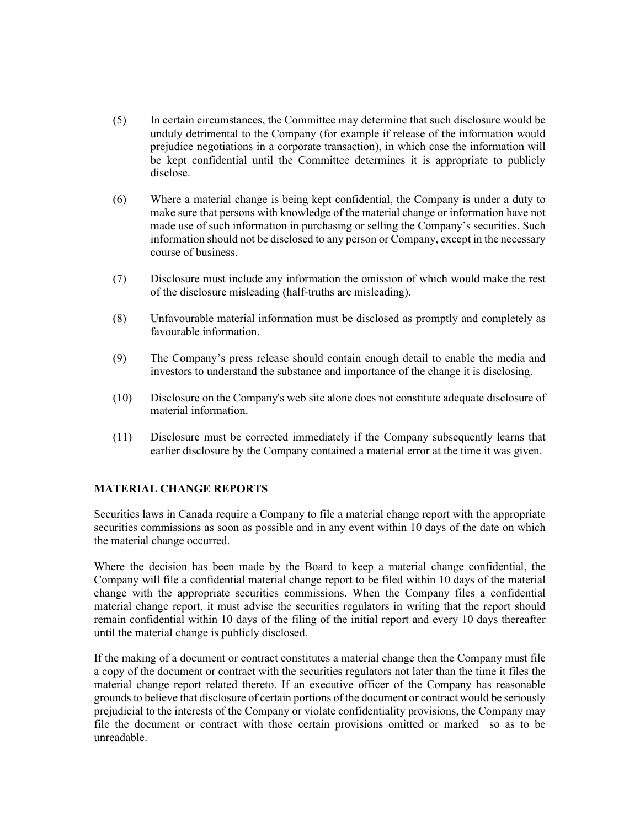- (5) In certain circumstances, the Committee may determine that such disclosure would be unduly detrimental to the Company (for example if release of the information would prejudice negotiations in a corporate transaction), in which case the information will be kept confidential until the Committee determines it is appropriate to publicly disclose.
- (6) Where a material change is being kept confidential, the Company is under a duty to make sure that persons with knowledge of the material change or information have not made use of such information in purchasing or selling the Company's securities. Such information should not be disclosed to any person or Company, except in the necessary course of business.
- (7) Disclosure must include any information the omission of which would make the rest of the disclosure misleading (half-truths are misleading).
- (8) Unfavourable material information must be disclosed as promptly and completely as favourable information.
- (9) The Company's press release should contain enough detail to enable the media and investors to understand the substance and importance of the change it is disclosing.
- (10) Disclosure on the Company's web site alone does not constitute adequate disclosure of material information.
- (11) Disclosure must be corrected immediately if the Company subsequently learns that earlier disclosure by the Company contained a material error at the time it was given.

### **MATERIAL CHANGE REPORTS**

Securities laws in Canada require a Company to file a material change report with the appropriate securities commissions as soon as possible and in any event within 10 days of the date on which the material change occurred.

Where the decision has been made by the Board to keep a material change confidential, the Company will file a confidential material change report to be filed within 10 days of the material change with the appropriate securities commissions. When the Company files a confidential material change report, it must advise the securities regulators in writing that the report should remain confidential within 10 days of the filing of the initial report and every 10 days thereafter until the material change is publicly disclosed.

If the making of a document or contract constitutes a material change then the Company must file a copy of the document or contract with the securities regulators not later than the time it files the material change report related thereto. If an executive officer of the Company has reasonable grounds to believe that disclosure of certain portions of the document or contract would be seriously prejudicial to the interests of the Company or violate confidentiality provisions, the Company may file the document or contract with those certain provisions omitted or marked so as to be unreadable.